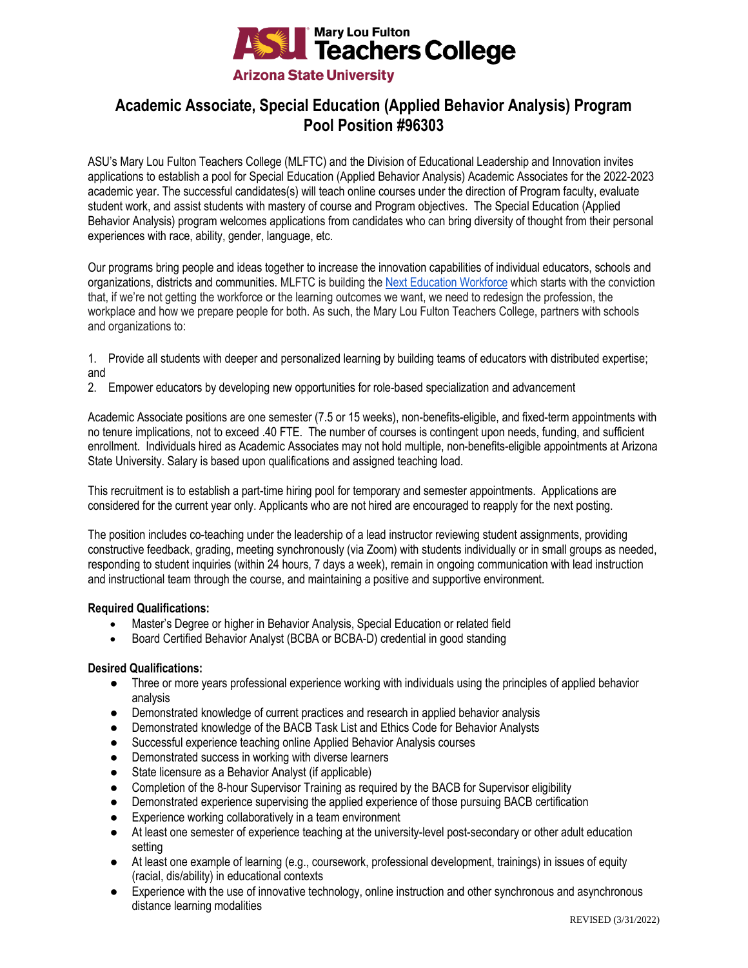

# **Academic Associate, Special Education (Applied Behavior Analysis) Program Pool Position #96303**

ASU's Mary Lou Fulton Teachers College (MLFTC) and the Division of Educational Leadership and Innovation invites applications to establish a pool for Special Education (Applied Behavior Analysis) Academic Associates for the 2022-2023 academic year. The successful candidates(s) will teach online courses under the direction of Program faculty, evaluate student work, and assist students with mastery of course and Program objectives. The Special Education (Applied Behavior Analysis) program welcomes applications from candidates who can bring diversity of thought from their personal experiences with race, ability, gender, language, etc.

Our programs bring people and ideas together to increase the innovation capabilities of individual educators, schools and organizations, districts and communities. MLFTC is building th[e Next Education Workforce](https://workforce.education.asu.edu/?utm_source=mlftc&utm_medium=redirect&utm_campaign=top_nav) which starts with the conviction that, if we're not getting the workforce or the learning outcomes we want, we need to redesign the profession, the workplace and how we prepare people for both. As such, the Mary Lou Fulton Teachers College, partners with schools and organizations to:

- 1. Provide all students with deeper and personalized learning by building teams of educators with distributed expertise; and
- 2. Empower educators by developing new opportunities for role-based specialization and advancement

Academic Associate positions are one semester (7.5 or 15 weeks), non-benefits-eligible, and fixed-term appointments with no tenure implications, not to exceed .40 FTE. The number of courses is contingent upon needs, funding, and sufficient enrollment. Individuals hired as Academic Associates may not hold multiple, non-benefits-eligible appointments at Arizona State University. Salary is based upon qualifications and assigned teaching load.

This recruitment is to establish a part-time hiring pool for temporary and semester appointments. Applications are considered for the current year only. Applicants who are not hired are encouraged to reapply for the next posting.

The position includes co-teaching under the leadership of a lead instructor reviewing student assignments, providing constructive feedback, grading, meeting synchronously (via Zoom) with students individually or in small groups as needed, responding to student inquiries (within 24 hours, 7 days a week), remain in ongoing communication with lead instruction and instructional team through the course, and maintaining a positive and supportive environment.

# **Required Qualifications:**

- Master's Degree or higher in Behavior Analysis, Special Education or related field
- Board Certified Behavior Analyst (BCBA or BCBA-D) credential in good standing

# **Desired Qualifications:**

- Three or more years professional experience working with individuals using the principles of applied behavior analysis
- Demonstrated knowledge of current practices and research in applied behavior analysis
- Demonstrated knowledge of the BACB Task List and Ethics Code for Behavior Analysts
- Successful experience teaching online Applied Behavior Analysis courses
- Demonstrated success in working with diverse learners
- State licensure as a Behavior Analyst (if applicable)
- Completion of the 8-hour Supervisor Training as required by the BACB for Supervisor eligibility
- Demonstrated experience supervising the applied experience of those pursuing BACB certification
- Experience working collaboratively in a team environment
- At least one semester of experience teaching at the university-level post-secondary or other adult education setting
- At least one example of learning (e.g., coursework, professional development, trainings) in issues of equity (racial, dis/ability) in educational contexts
- Experience with the use of innovative technology, online instruction and other synchronous and asynchronous distance learning modalities